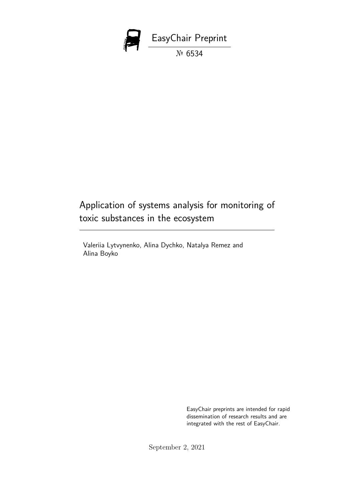

# Application of systems analysis for monitoring of toxic substances in the ecosystem

Valeriia Lytvynenko, Alina Dychko, Natalya Remez and Alina Boyko

> EasyChair preprints are intended for rapid dissemination of research results and are integrated with the rest of EasyChair.

September 2, 2021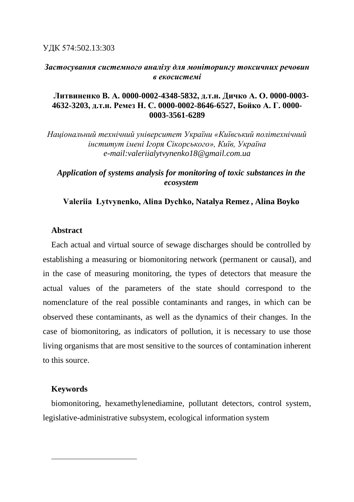УДК 574:502.13:303

# *Застосування системного аналізу для моніторингу токсичних речовин в екосистемі*

# **Литвиненко В. А. 0000-0002-4348-5832, д.т.н. Дичко А. О. 0000-0003- 4632-3203, д.т.н. Ремез Н. С. 0000-0002-8646-6527, Бойко А. Г. 0000- 0003-3561-6289**

*Національний технічний університет України «Київський політехнічний інститут імені Ігоря Сікорського», Київ, Україна e-mail:valeriialytvynenko18@gmail.com.ua*

# *Application of systems analysis for monitoring of toxic substances in the ecosystem*

## **Vаleriia Lytvynenko, Alina Dychko, Natalya Remez , Alina Boyko**

## **Abstract**

Each actual and virtual source of sewage discharges should be controlled by establishing a measuring or biomonitoring network (permanent or causal), and in the case of measuring monitoring, the types of detectors that measure the actual values of the parameters of the state should correspond to the nomenclature of the real possible contaminants and ranges, in which can be observed these contaminants, as well as the dynamics of their changes. In the case of biomonitoring, as indicators of pollution, it is necessary to use those living organisms that are most sensitive to the sources of contamination inherent to this source.

## **Keywords 1**

biomonitoring, hexamethylenediamine, pollutant detectors, control system, legislative-administrative subsystem, ecological information system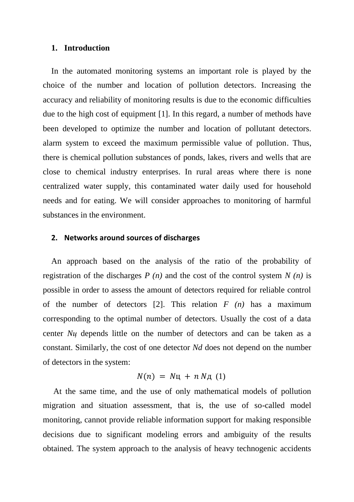#### **1. Introduction**

In the automated monitoring systems an important role is played by the choice of the number and location of pollution detectors. Increasing the accuracy and reliability of monitoring results is due to the economic difficulties due to the high cost of equipment [1]. In this regard, a number of methods have been developed to optimize the number and location of pollutant detectors. alarm system to exceed the maximum permissible value of pollution. Thus, there is chemical pollution substances of ponds, lakes, rivers and wells that are close to chemical industry enterprises. In rural areas where there is none centralized water supply, this contaminated water daily used for household needs and for eating. We will consider approaches to monitoring of harmful substances in the environment.

#### **2. Networks around sources of discharges**

An approach based on the analysis of the ratio of the probability of registration of the discharges *P (n)* and the cost of the control system *N (n)* is possible in order to assess the amount of detectors required for reliable control of the number of detectors [2]. This relation *F (n)* has a maximum corresponding to the optimal number of detectors. Usually the cost of a data center *Nц* depends little on the number of detectors and can be taken as a constant. Similarly, the cost of one detector *Nd* does not depend on the number of detectors in the system:

$$
N(n) = N\mu + n N\mu (1)
$$

At the same time, and the use of only mathematical models of pollution migration and situation assessment, that is, the use of so-called model monitoring, cannot provide reliable information support for making responsible decisions due to significant modeling errors and ambiguity of the results obtained. The system approach to the analysis of heavy technogenic accidents